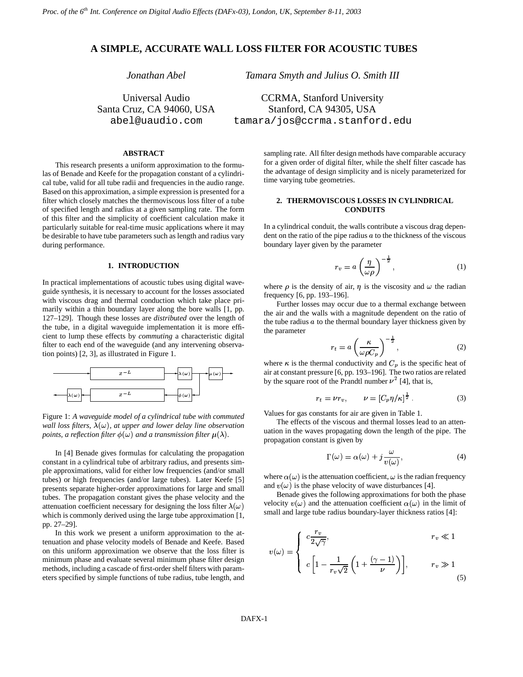# **A SIMPLE, ACCURATE WALL LOSS FILTER FOR ACOUSTIC TUBES**

*Jonathan Abel*

Universal Audio Santa Cruz, CA 94060, USA abel@uaudio.com

Stanford, CA 94305, USA tamara/jos@ccrma.stanford.edu

*Tamara Smyth and Julius O. Smith III*

CCRMA, Stanford University

### **ABSTRACT**

This research presents a uniform approximation to the formulas of Benade and Keefe for the propagation constant of a cylindrical tube, valid for all tube radii and frequencies in the audio range. Based on this approximation, a simple expression is presented for a filter which closely matches the thermoviscous loss filter of a tube of specified length and radius at a given sampling rate. The form of this filter and the simplicity of coefficient calculation make it particularly suitable for real-time music applications where it may be desirable to have tube parameters such as length and radius vary during performance.

#### **1. INTRODUCTION**

In practical implementations of acoustic tubes using digital waveguide synthesis, it is necessary to account for the losses associated with viscous drag and thermal conduction which take place primarily within a thin boundary layer along the bore walls [1, pp. 127–129]. Though these losses are *distributed* over the length of the tube, in a digital waveguide implementation it is more efficient to lump these effects by *commuting* a characteristic digital filter to each end of the waveguide (and any intervening observation points) [2, 3], as illustrated in Figure 1.



Figure 1: *A waveguide model of a cylindrical tube with commuted wall loss filters,*  $\lambda(\omega)$ *, at upper and lower delay line observation* points, a reflection filter  $\phi(\omega)$  and a transmission filter  $\mu(\lambda)$ .

In [4] Benade gives formulas for calculating the propagation constant in a cylindrical tube of arbitrary radius, and presents simple approximations, valid for either low frequencies (and/or small tubes) or high frequencies (and/or large tubes). Later Keefe [5] presents separate higher-order approximations for large and small tubes. The propagation constant gives the phase velocity and the attenuation coefficient necessary for designing the loss filter  $\lambda(\omega)$ which is commonly derived using the large tube approximation [1, pp. 27–29].

In this work we present a uniform approximation to the attenuation and phase velocity models of Benade and Keefe. Based on this uniform approximation we observe that the loss filter is minimum phase and evaluate several minimum phase filter design methods, including a cascade of first-order shelf filters with parameters specified by simple functions of tube radius, tube length, and sampling rate. All filter design methods have comparable accuracy for a given order of digital filter, while the shelf filter cascade has the advantage of design simplicity and is nicely parameterized for time varying tube geometries.

### **2. THERMOVISCOUS LOSSES IN CYLINDRICAL CONDUITS**

In a cylindrical conduit, the walls contribute a viscous drag dependent on the ratio of the pipe radius  $a$  to the thickness of the viscous boundary layer given by the parameter

$$
r_v = a \left(\frac{\eta}{\omega \rho}\right)^{-\frac{1}{2}},\tag{1}
$$

where  $\rho$  is the density of air,  $\eta$  is the viscosity and  $\omega$  the radian frequency [6, pp. 193–196].

Further losses may occur due to a thermal exchange between the air and the walls with a magnitude dependent on the ratio of the tube radius  $a$  to the thermal boundary layer thickness given by the parameter

$$
r_t = a \left(\frac{\kappa}{\omega \rho C_p}\right)^{-\frac{1}{2}},\qquad(2)
$$

where  $\kappa$  is the thermal conductivity and  $C_p$  is the specific heat of air at constant pressure [6, pp. 193–196]. The two ratios are related by the square root of the Prandtl number  $\nu^2$  [4], that is,

$$
r_t = \nu r_v, \qquad \nu = \left[ C_p \eta / \kappa \right]^{\frac{1}{2}}.
$$
 (3)

Values for gas constants for air are given in Table 1.

The effects of the viscous and thermal losses lead to an attenuation in the waves propagating down the length of the pipe. The propagation constant is given by

$$
\Gamma(\omega) = \alpha(\omega) + j \frac{\omega}{v(\omega)},
$$
\n(4)

where  $\alpha(\omega)$  is the attenuation coefficient,  $\omega$  is the radian frequency and  $v(\omega)$  is the phase velocity of wave disturbances [4].

Benade gives the following approximations for both the phase velocity  $v(\omega)$  and the attenuation coefficient  $\alpha(\omega)$  in the limit of small and large tube radius boundary-layer thickness ratios [4]:

$$
v(\omega) = \begin{cases} c \frac{r_v}{2\sqrt{\gamma}}, & r_v \ll 1 \\ c \left[1 - \frac{1}{r_v \sqrt{2}} \left(1 + \frac{(\gamma - 1)}{\nu}\right)\right], & r_v \gg 1 \end{cases}
$$
(5)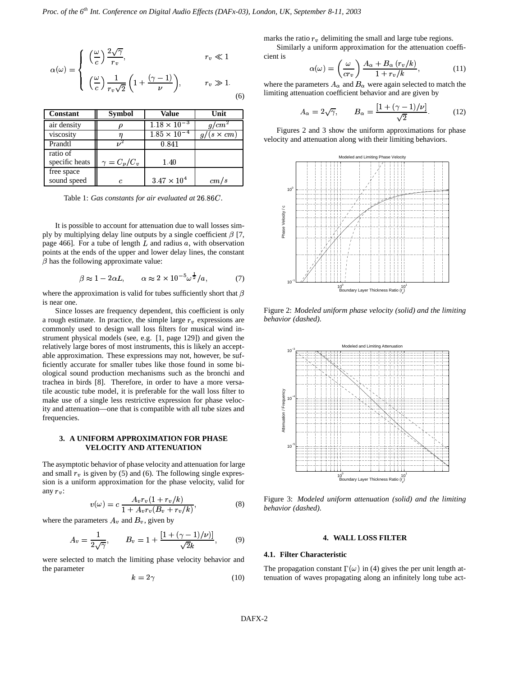$$
\alpha(\omega) = \begin{cases}\n\left(\frac{\omega}{c}\right) \frac{2\sqrt{\gamma}}{r_v}, & r_v \ll 1 \\
\left(\frac{\omega}{c}\right) \frac{1}{r_v \sqrt{2}} \left(1 + \frac{(\gamma - 1)}{\nu}\right), & r_v \gg 1.\n\end{cases}
$$
\n(6)

| Constant       | <b>Symbol</b>      | Value                 | Unit            |
|----------------|--------------------|-----------------------|-----------------|
| air density    |                    | $1.18 \times 10^{-3}$ | cm <sup>2</sup> |
| viscosity      |                    | $1.85 \times 10^{-7}$ | $(s \times cm)$ |
| Prandtl        |                    | 0.841                 |                 |
| ratio of       |                    |                       |                 |
| specific heats | $\gamma = C_p/C_v$ | 1.40                  |                 |
| free space     |                    |                       |                 |
| sound speed    | C.                 | $3.47 \times 10^{4}$  | cm/s            |

Table 1: *Gas constants for air evaluated at* 26.86*C*.

It is possible to account for attenuation due to wall losses simply by multiplying delay line outputs by a single coefficient  $\beta$  [7, page 466]. For a tube of length  $L$  and radius  $a$ , with observation points at the ends of the upper and lower delay lines, the constant  $\beta$  has the following approximate value:

$$
\beta \approx 1 - 2\alpha L, \qquad \alpha \approx 2 \times 10^{-5} \omega^{\frac{1}{2}} / a,\tag{7}
$$

where the approximation is valid for tubes sufficiently short that  $\beta$ is near one.

Since losses are frequency dependent, this coefficient is only a rough estimate. In practice, the simple large  $r_v$  expressions are commonly used to design wall loss filters for musical wind instrument physical models (see, e.g. [1, page 129]) and given the relatively large bores of most instruments, this is likely an acceptable approximation. These expressions may not, however, be sufficiently accurate for smaller tubes like those found in some biological sound production mechanisms such as the bronchi and trachea in birds [8]. Therefore, in order to have a more versatile acoustic tube model, it is preferable for the wall loss filter to make use of a single less restrictive expression for phase velocity and attenuation—one that is compatible with all tube sizes and frequencies.

## **3. A UNIFORM APPROXIMATION FOR PHASE VELOCITY AND ATTENUATION**

The asymptotic behavior of phase velocity and attenuation for large and small  $r_v$  is given by (5) and (6). The following single expression is a uniform approximation for the phase velocity, valid for any  $r_v$ :

$$
v(\omega) = c \frac{A_v r_v (1 + r_v/k)}{1 + A_v r_v (B_v + r_v/k)},
$$
\n(8)

where the parameters  $A_v$  and  $B_v$ , given by

$$
A_v = \frac{1}{2\sqrt{\gamma}}, \qquad B_v = 1 + \frac{[1 + (\gamma - 1)/\nu)]}{\sqrt{2}k}, \qquad (9)
$$

were selected to match the limiting phase velocity behavior and the parameter

$$
k = 2\gamma \tag{10}
$$

marks the ratio  $r<sub>v</sub>$  delimiting the small and large tube regions.

Similarly a uniform approximation for the attenuation coefficient is

$$
\alpha(\omega) = \left(\frac{\omega}{cr_v}\right) \frac{A_\alpha + B_\alpha (r_v/k)}{1 + r_v/k},\tag{11}
$$

where the parameters  $A_{\alpha}$  and  $B_{\alpha}$  were again selected to match the limiting attenuation coefficient behavior and are given by

$$
A_{\alpha} = 2\sqrt{\gamma}, \qquad B_{\alpha} = \frac{\left[1 + (\gamma - 1)/\nu\right]}{\sqrt{2}}.
$$
 (12)

Figures 2 and 3 show the uniform approximations for phase velocity and attenuation along with their limiting behaviors.



Figure 2: *Modeled uniform phase velocity (solid) and the limiting behavior (dashed).*



Figure 3: *Modeled uniform attenuation (solid) and the limiting behavior (dashed).*

# **4. WALL LOSS FILTER**

### **4.1. Filter Characteristic**

The propagation constant  $\Gamma(\omega)$  in (4) gives the per unit length attenuation of waves propagating along an infinitely long tube act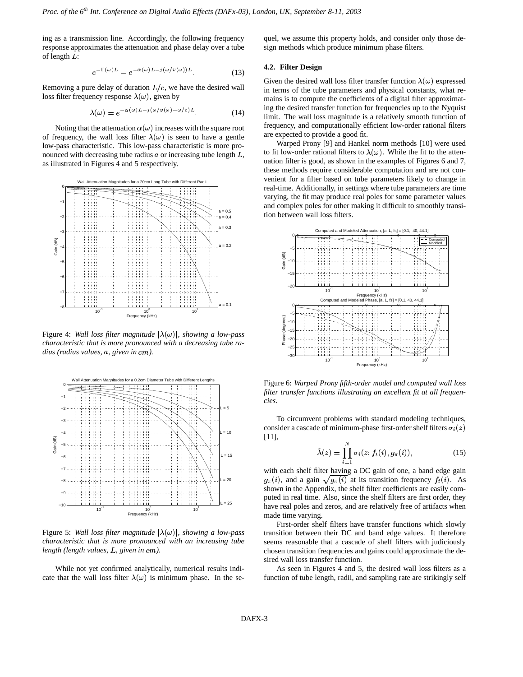ing as a transmission line. Accordingly, the following frequency response approximates the attenuation and phase delay over a tube of length  $L$ :

$$
e^{-\Gamma(\omega)L} = e^{-\alpha(\omega)L - j(\omega/v(\omega))L}.
$$
 (13)

Removing a pure delay of duration  $L/c$ , we have the desired wall loss filter frequency response  $\lambda(\omega)$ , given by

$$
\lambda(\omega) = e^{-\alpha(\omega)L - j(\omega/v(\omega) - \omega/c)L}.
$$
 (14)

Noting that the attenuation  $\alpha(\omega)$  increases with the square root of frequency, the wall loss filter  $\lambda(\omega)$  is seen to have a gentle low-pass characteristic. This low-pass characteristic is more pronounced with decreasing tube radius  $a$  or increasing tube length  $L$ , as illustrated in Figures 4 and 5 respectively.



Figure 4: *Wall loss filter magnitude*  $|\lambda(\omega)|$ *, showing a low-pass characteristic that is more pronounced with a decreasing tube radius* (radius values, a, given in cm).



Figure 5: *Wall loss filter magnitude*  $|\lambda(\omega)|$ *, showing a low-pass characteristic that is more pronounced with an increasing tube length (length values, L, given in cm).* 

While not yet confirmed analytically, numerical results indicate that the wall loss filter  $\lambda(\omega)$  is minimum phase. In the sequel, we assume this property holds, and consider only those design methods which produce minimum phase filters.

#### **4.2. Filter Design**

Given the desired wall loss filter transfer function  $\lambda(\omega)$  expressed in terms of the tube parameters and physical constants, what remains is to compute the coefficients of a digital filter approximating the desired transfer function for frequencies up to the Nyquist limit. The wall loss magnitude is a relatively smooth function of frequency, and computationally efficient low-order rational filters are expected to provide a good fit.

Warped Prony [9] and Hankel norm methods [10] were used to fit low-order rational filters to  $\lambda(\omega)$ . While the fit to the attenuation filter is good, as shown in the examples of Figures 6 and 7, these methods require considerable computation and are not convenient for a filter based on tube parameters likely to change in real-time. Additionally, in settings where tube parameters are time varying, the fit may produce real poles for some parameter values and complex poles for other making it difficult to smoothly transition between wall loss filters.



Figure 6: *Warped Prony fifth-order model and computed wall loss filter transfer functions illustrating an excellent fit at all frequencies.*

To circumvent problems with standard modeling techniques, consider a cascade of minimum-phase first-order shelf filters  $\sigma_i(z)$ [11],

$$
\hat{\lambda}(z) = \prod_{i=1}^{N} \sigma_i(z; f_t(i), g_\pi(i)), \tag{15}
$$

with each shelf filter having a DC gain of one, a band edge gain shown in the Appendix, the shelf filter coefficients are easily com-(*i*), and a gain  $\sqrt{g_{\pi}(i)}$  at its transition frequency  $f_t(i)$ . As puted in real time. Also, since the shelf filters are first order, they have real poles and zeros, and are relatively free of artifacts when made time varying.

First-order shelf filters have transfer functions which slowly transition between their DC and band edge values. It therefore seems reasonable that a cascade of shelf filters with judiciously chosen transition frequencies and gains could approximate the desired wall loss transfer function.

As seen in Figures 4 and 5, the desired wall loss filters as a function of tube length, radii, and sampling rate are strikingly self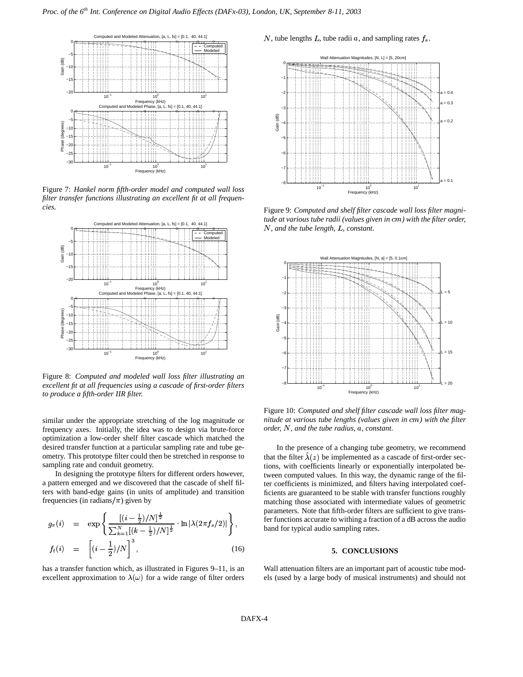

Figure 7: *Hankel norm fifth-order model and computed wall loss filter transfer functions illustrating an excellent fit at all frequencies.*



Figure 8: *Computed and modeled wall loss filter illustrating an excellent fit at all frequencies using a cascade of first-order filters to produce a fifth-order IIR filter.*

similar under the appropriate stretching of the log magnitude or frequency axes. Initially, the idea was to design via brute-force optimization a low-order shelf filter cascade which matched the desired transfer function at a particular sampling rate and tube geometry. This prototype filter could then be stretched in response to sampling rate and conduit geometry.

In designing the prototype filters for different orders however, a pattern emerged and we discovered that the cascade of shelf filters with band-edge gains (in units of amplitude) and transition frequencies (in radians/ $\pi$ ) given by

$$
g_{\pi}(i) = \exp\left\{\frac{[(i-\frac{1}{2})/N]^{\frac{1}{2}}}{\sum_{k=1}^{N}[(k-\frac{1}{2})/N]^{\frac{1}{2}}} \cdot \ln |\lambda(2\pi f_{s}/2)|\right\},
$$
  

$$
f_{t}(i) = [i-\frac{1}{2})/N]^3,
$$
(16)

has a transfer function which, as illustrated in Figures 9–11, is an excellent approximation to  $\lambda(\omega)$  for a wide range of filter orders

N, tube lengths L, tube radii  $a$ , and sampling rates  $f_s$ .



Figure 9: *Computed and shelf filter cascade wall loss filter magnitude* at various tube radii (values given in cm) with the filter order,  $N$ *, and the tube length, L, constant.* 



Figure 10: *Computed and shelf filter cascade wall loss filter magnitude* at various *tube lengths* (values given in cm) with the filter  $\alpha$  *<i>order,*  $N$ *, and the tube radius, a, constant.* 

 $\left| \right|$  fer functions accurate to withing a fraction of a dB across the audio In the presence of a changing tube geometry, we recommend that the filter  $\lambda(z)$  be implemented as a cascade of first-order sections, with coefficients linearly or exponentially interpolated between computed values. In this way, the dynamic range of the filter coefficients is minimized, and filters having interpolated coefficients are guaranteed to be stable with transfer functions roughly matching those associated with intermediate values of geometric parameters. Note that fifth-order filters are sufficient to give transband for typical audio sampling rates.

### **5. CONCLUSIONS**

Wall attenuation filters are an important part of acoustic tube models (used by a large body of musical instruments) and should not